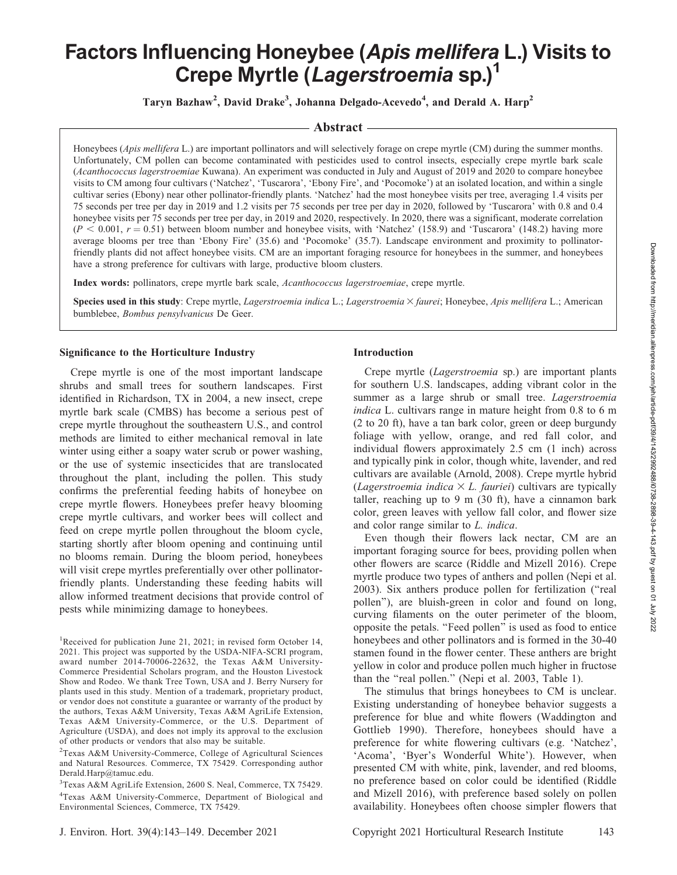# Factors Influencing Honeybee (Apis mellifera L.) Visits to Crepe Myrtle (Lagerstroemia sp.)<sup>1</sup>

Taryn Bazhaw<sup>2</sup>, David Drake<sup>3</sup>, Johanna Delgado-Acevedo<sup>4</sup>, and Derald A. Harp<sup>2</sup>

# Abstract

Honeybees (*Apis mellifera L.*) are important pollinators and will selectively forage on crepe myrtle (CM) during the summer months. Unfortunately, CM pollen can become contaminated with pesticides used to control insects, especially crepe myrtle bark scale (Acanthococcus lagerstroemiae Kuwana). An experiment was conducted in July and August of 2019 and 2020 to compare honeybee visits to CM among four cultivars ('Natchez', 'Tuscarora', 'Ebony Fire', and 'Pocomoke') at an isolated location, and within a single cultivar series (Ebony) near other pollinator-friendly plants. 'Natchez' had the most honeybee visits per tree, averaging 1.4 visits per 75 seconds per tree per day in 2019 and 1.2 visits per 75 seconds per tree per day in 2020, followed by 'Tuscarora' with 0.8 and 0.4 honeybee visits per 75 seconds per tree per day, in 2019 and 2020, respectively. In 2020, there was a significant, moderate correlation  $(P < 0.001, r = 0.51)$  between bloom number and honeybee visits, with 'Natchez' (158.9) and 'Tuscarora' (148.2) having more average blooms per tree than 'Ebony Fire' (35.6) and 'Pocomoke' (35.7). Landscape environment and proximity to pollinatorfriendly plants did not affect honeybee visits. CM are an important foraging resource for honeybees in the summer, and honeybees have a strong preference for cultivars with large, productive bloom clusters.

Index words: pollinators, crepe myrtle bark scale, Acanthococcus lagerstroemiae, crepe myrtle.

Species used in this study: Crepe myrtle, Lagerstroemia indica L.; Lagerstroemia × faurei; Honeybee, Apis mellifera L.; American bumblebee, Bombus pensylvanicus De Geer.

### Significance to the Horticulture Industry

Crepe myrtle is one of the most important landscape shrubs and small trees for southern landscapes. First identified in Richardson, TX in 2004, a new insect, crepe myrtle bark scale (CMBS) has become a serious pest of crepe myrtle throughout the southeastern U.S., and control methods are limited to either mechanical removal in late winter using either a soapy water scrub or power washing, or the use of systemic insecticides that are translocated throughout the plant, including the pollen. This study confirms the preferential feeding habits of honeybee on crepe myrtle flowers. Honeybees prefer heavy blooming crepe myrtle cultivars, and worker bees will collect and feed on crepe myrtle pollen throughout the bloom cycle, starting shortly after bloom opening and continuing until no blooms remain. During the bloom period, honeybees will visit crepe myrtles preferentially over other pollinatorfriendly plants. Understanding these feeding habits will allow informed treatment decisions that provide control of pests while minimizing damage to honeybees.

<sup>1</sup>Received for publication June 21, 2021; in revised form October 14, 2021. This project was supported by the USDA-NIFA-SCRI program, award number 2014-70006-22632, the Texas A&M University-Commerce Presidential Scholars program, and the Houston Livestock Show and Rodeo. We thank Tree Town, USA and J. Berry Nursery for plants used in this study. Mention of a trademark, proprietary product, or vendor does not constitute a guarantee or warranty of the product by the authors, Texas A&M University, Texas A&M AgriLife Extension, Texas A&M University-Commerce, or the U.S. Department of Agriculture (USDA), and does not imply its approval to the exclusion of other products or vendors that also may be suitable.

2 Texas A&M University-Commerce, College of Agricultural Sciences and Natural Resources. Commerce, TX 75429. Corresponding author Derald.Harp@tamuc.edu.

3 Texas A&M AgriLife Extension, 2600 S. Neal, Commerce, TX 75429. 4 Texas A&M University-Commerce, Department of Biological and Environmental Sciences, Commerce, TX 75429.

## Introduction

Crepe myrtle (Lagerstroemia sp.) are important plants for southern U.S. landscapes, adding vibrant color in the summer as a large shrub or small tree. *Lagerstroemia* indica L. cultivars range in mature height from 0.8 to 6 m (2 to 20 ft), have a tan bark color, green or deep burgundy foliage with yellow, orange, and red fall color, and individual flowers approximately 2.5 cm (1 inch) across and typically pink in color, though white, lavender, and red cultivars are available (Arnold, 2008). Crepe myrtle hybrid (Lagerstroemia indica  $\times$  L. fauriei) cultivars are typically taller, reaching up to 9 m  $(30 \text{ ft})$ , have a cinnamon bark color, green leaves with yellow fall color, and flower size and color range similar to L. indica.

Even though their flowers lack nectar, CM are an important foraging source for bees, providing pollen when other flowers are scarce (Riddle and Mizell 2016). Crepe myrtle produce two types of anthers and pollen (Nepi et al. 2003). Six anthers produce pollen for fertilization (''real pollen''), are bluish-green in color and found on long, curving filaments on the outer perimeter of the bloom, opposite the petals. ''Feed pollen'' is used as food to entice honeybees and other pollinators and is formed in the 30-40 stamen found in the flower center. These anthers are bright yellow in color and produce pollen much higher in fructose than the "real pollen." (Nepi et al. 2003, Table 1).

The stimulus that brings honeybees to CM is unclear. Existing understanding of honeybee behavior suggests a preference for blue and white flowers (Waddington and Gottlieb 1990). Therefore, honeybees should have a preference for white flowering cultivars (e.g. 'Natchez', 'Acoma', 'Byer's Wonderful White'). However, when presented CM with white, pink, lavender, and red blooms, no preference based on color could be identified (Riddle and Mizell 2016), with preference based solely on pollen availability. Honeybees often choose simpler flowers that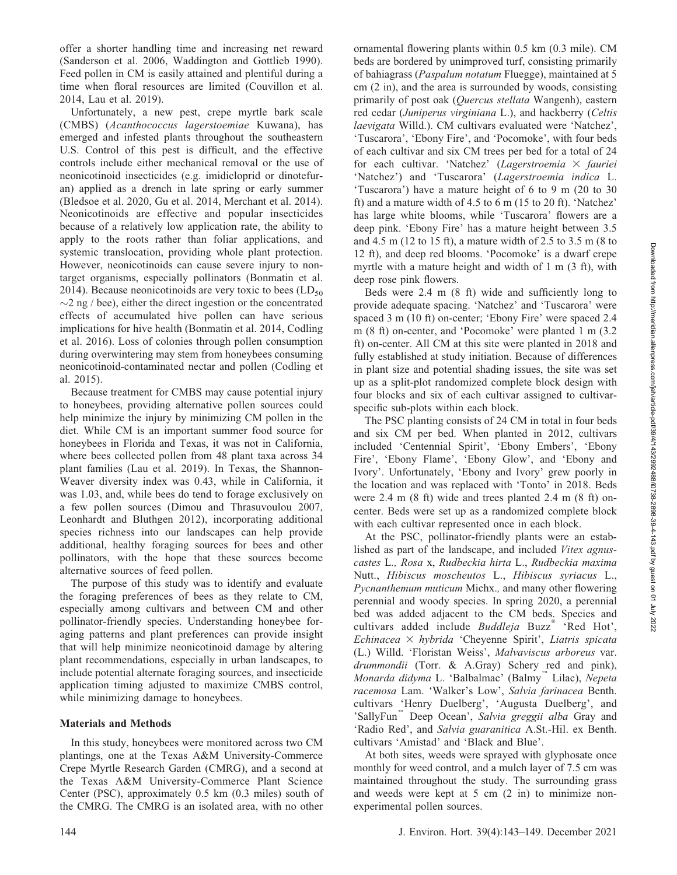offer a shorter handling time and increasing net reward (Sanderson et al. 2006, Waddington and Gottlieb 1990). Feed pollen in CM is easily attained and plentiful during a time when floral resources are limited (Couvillon et al. 2014, Lau et al. 2019).

Unfortunately, a new pest, crepe myrtle bark scale (CMBS) (Acanthococcus lagerstoemiae Kuwana), has emerged and infested plants throughout the southeastern U.S. Control of this pest is difficult, and the effective controls include either mechanical removal or the use of neonicotinoid insecticides (e.g. imidicloprid or dinotefuran) applied as a drench in late spring or early summer (Bledsoe et al. 2020, Gu et al. 2014, Merchant et al. 2014). Neonicotinoids are effective and popular insecticides because of a relatively low application rate, the ability to apply to the roots rather than foliar applications, and systemic translocation, providing whole plant protection. However, neonicotinoids can cause severe injury to nontarget organisms, especially pollinators (Bonmatin et al. 2014). Because neonicotinoids are very toxic to bees  $(LD_{50}$  $\sim$ 2 ng / bee), either the direct ingestion or the concentrated effects of accumulated hive pollen can have serious implications for hive health (Bonmatin et al. 2014, Codling et al. 2016). Loss of colonies through pollen consumption during overwintering may stem from honeybees consuming neonicotinoid-contaminated nectar and pollen (Codling et al. 2015).

Because treatment for CMBS may cause potential injury to honeybees, providing alternative pollen sources could help minimize the injury by minimizing CM pollen in the diet. While CM is an important summer food source for honeybees in Florida and Texas, it was not in California, where bees collected pollen from 48 plant taxa across 34 plant families (Lau et al. 2019). In Texas, the Shannon-Weaver diversity index was 0.43, while in California, it was 1.03, and, while bees do tend to forage exclusively on a few pollen sources (Dimou and Thrasuvoulou 2007, Leonhardt and Bluthgen 2012), incorporating additional species richness into our landscapes can help provide additional, healthy foraging sources for bees and other pollinators, with the hope that these sources become alternative sources of feed pollen.

The purpose of this study was to identify and evaluate the foraging preferences of bees as they relate to CM, especially among cultivars and between CM and other pollinator-friendly species. Understanding honeybee foraging patterns and plant preferences can provide insight that will help minimize neonicotinoid damage by altering plant recommendations, especially in urban landscapes, to include potential alternate foraging sources, and insecticide application timing adjusted to maximize CMBS control, while minimizing damage to honeybees.

#### Materials and Methods

In this study, honeybees were monitored across two CM plantings, one at the Texas A&M University-Commerce Crepe Myrtle Research Garden (CMRG), and a second at the Texas A&M University-Commerce Plant Science Center (PSC), approximately 0.5 km (0.3 miles) south of the CMRG. The CMRG is an isolated area, with no other

ornamental flowering plants within 0.5 km (0.3 mile). CM beds are bordered by unimproved turf, consisting primarily of bahiagrass (Paspalum notatum Fluegge), maintained at 5 cm (2 in), and the area is surrounded by woods, consisting primarily of post oak (Quercus stellata Wangenh), eastern red cedar (Juniperus virginiana L.), and hackberry (Celtis laevigata Willd.). CM cultivars evaluated were 'Natchez', 'Tuscarora', 'Ebony Fire', and 'Pocomoke', with four beds of each cultivar and six CM trees per bed for a total of 24 for each cultivar. 'Natchez' (Lagerstroemia  $\times$  fauriei 'Natchez') and 'Tuscarora' (Lagerstroemia indica L. 'Tuscarora') have a mature height of 6 to 9 m (20 to 30 ft) and a mature width of 4.5 to 6 m (15 to 20 ft). 'Natchez' has large white blooms, while 'Tuscarora' flowers are a deep pink. 'Ebony Fire' has a mature height between 3.5 and 4.5 m (12 to 15 ft), a mature width of 2.5 to 3.5 m (8 to 12 ft), and deep red blooms. 'Pocomoke' is a dwarf crepe myrtle with a mature height and width of 1 m (3 ft), with deep rose pink flowers.

Beds were 2.4 m (8 ft) wide and sufficiently long to provide adequate spacing. 'Natchez' and 'Tuscarora' were spaced 3 m (10 ft) on-center; 'Ebony Fire' were spaced 2.4 m (8 ft) on-center, and 'Pocomoke' were planted 1 m (3.2 ft) on-center. All CM at this site were planted in 2018 and fully established at study initiation. Because of differences in plant size and potential shading issues, the site was set up as a split-plot randomized complete block design with four blocks and six of each cultivar assigned to cultivarspecific sub-plots within each block.

The PSC planting consists of 24 CM in total in four beds and six CM per bed. When planted in 2012, cultivars included 'Centennial Spirit', 'Ebony Embers', 'Ebony Fire', 'Ebony Flame', 'Ebony Glow', and 'Ebony and Ivory'. Unfortunately, 'Ebony and Ivory' grew poorly in the location and was replaced with 'Tonto' in 2018. Beds were 2.4 m (8 ft) wide and trees planted 2.4 m (8 ft) oncenter. Beds were set up as a randomized complete block with each cultivar represented once in each block.

At the PSC, pollinator-friendly plants were an established as part of the landscape, and included Vitex agnuscastes L., Rosa x, Rudbeckia hirta L., Rudbeckia maxima Nutt., Hibiscus moscheutos L., Hibiscus syriacus L., Pycnanthemum muticum Michx., and many other flowering perennial and woody species. In spring 2020, a perennial bed was added adjacent to the CM beds. Species and cultivars added include Buddleja Buzz<sup>®</sup> 'Red Hot', Echinacea  $\times$  hybrida 'Cheyenne Spirit', Liatris spicata (L.) Willd. 'Floristan Weiss', Malvaviscus arboreus var. drummondii (Torr. & A.Gray) Schery red and pink), Monarda didyma L. 'Balbalmac' (Balmy<sup>"</sup> Lilac), Nepeta racemosa Lam. 'Walker's Low', Salvia farinacea Benth. cultivars 'Henry Duelberg', 'Augusta Duelberg', and 'SallyFun<sup>"</sup> Deep Ocean', Salvia greggii alba Gray and 'Radio Red', and Salvia guaranitica A.St.-Hil. ex Benth. cultivars 'Amistad' and 'Black and Blue'.

At both sites, weeds were sprayed with glyphosate once monthly for weed control, and a mulch layer of 7.5 cm was maintained throughout the study. The surrounding grass and weeds were kept at 5 cm (2 in) to minimize nonexperimental pollen sources.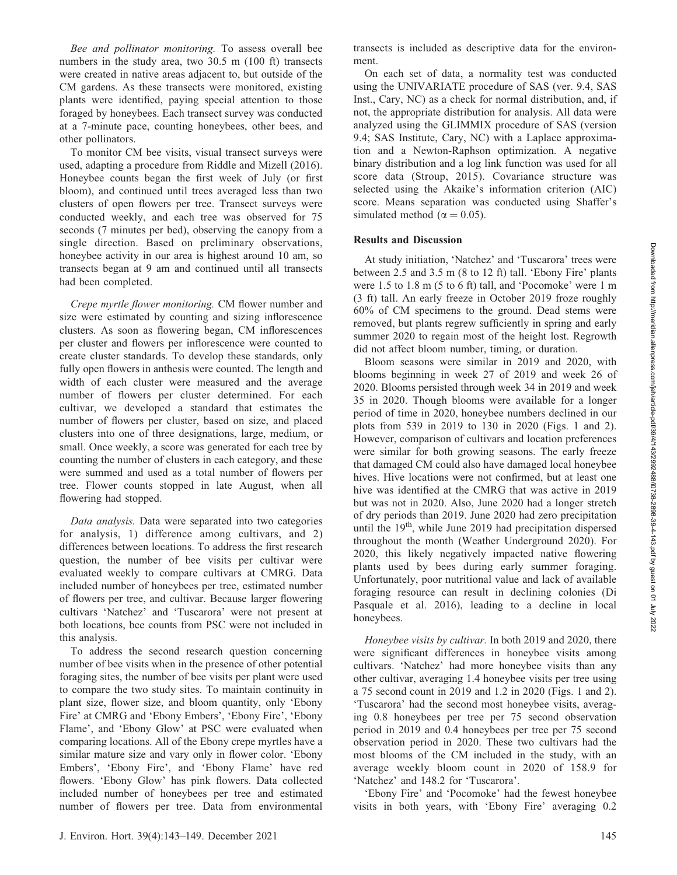Bee and pollinator monitoring. To assess overall bee numbers in the study area, two 30.5 m (100 ft) transects were created in native areas adjacent to, but outside of the CM gardens. As these transects were monitored, existing plants were identified, paying special attention to those foraged by honeybees. Each transect survey was conducted at a 7-minute pace, counting honeybees, other bees, and other pollinators.

To monitor CM bee visits, visual transect surveys were used, adapting a procedure from Riddle and Mizell (2016). Honeybee counts began the first week of July (or first bloom), and continued until trees averaged less than two clusters of open flowers per tree. Transect surveys were conducted weekly, and each tree was observed for 75 seconds (7 minutes per bed), observing the canopy from a single direction. Based on preliminary observations, honeybee activity in our area is highest around 10 am, so transects began at 9 am and continued until all transects had been completed.

Crepe myrtle flower monitoring. CM flower number and size were estimated by counting and sizing inflorescence clusters. As soon as flowering began, CM inflorescences per cluster and flowers per inflorescence were counted to create cluster standards. To develop these standards, only fully open flowers in anthesis were counted. The length and width of each cluster were measured and the average number of flowers per cluster determined. For each cultivar, we developed a standard that estimates the number of flowers per cluster, based on size, and placed clusters into one of three designations, large, medium, or small. Once weekly, a score was generated for each tree by counting the number of clusters in each category, and these were summed and used as a total number of flowers per tree. Flower counts stopped in late August, when all flowering had stopped.

Data analysis. Data were separated into two categories for analysis, 1) difference among cultivars, and 2) differences between locations. To address the first research question, the number of bee visits per cultivar were evaluated weekly to compare cultivars at CMRG. Data included number of honeybees per tree, estimated number of flowers per tree, and cultivar. Because larger flowering cultivars 'Natchez' and 'Tuscarora' were not present at both locations, bee counts from PSC were not included in this analysis.

To address the second research question concerning number of bee visits when in the presence of other potential foraging sites, the number of bee visits per plant were used to compare the two study sites. To maintain continuity in plant size, flower size, and bloom quantity, only 'Ebony Fire' at CMRG and 'Ebony Embers', 'Ebony Fire', 'Ebony Flame', and 'Ebony Glow' at PSC were evaluated when comparing locations. All of the Ebony crepe myrtles have a similar mature size and vary only in flower color. 'Ebony Embers', 'Ebony Fire', and 'Ebony Flame' have red flowers. 'Ebony Glow' has pink flowers. Data collected included number of honeybees per tree and estimated number of flowers per tree. Data from environmental

transects is included as descriptive data for the environment.

On each set of data, a normality test was conducted using the UNIVARIATE procedure of SAS (ver. 9.4, SAS Inst., Cary, NC) as a check for normal distribution, and, if not, the appropriate distribution for analysis. All data were analyzed using the GLIMMIX procedure of SAS (version 9.4; SAS Institute, Cary, NC) with a Laplace approximation and a Newton-Raphson optimization. A negative binary distribution and a log link function was used for all score data (Stroup, 2015). Covariance structure was selected using the Akaike's information criterion (AIC) score. Means separation was conducted using Shaffer's simulated method ( $\alpha = 0.05$ ).

#### Results and Discussion

At study initiation, 'Natchez' and 'Tuscarora' trees were between 2.5 and 3.5 m (8 to 12 ft) tall. 'Ebony Fire' plants were 1.5 to 1.8 m (5 to 6 ft) tall, and 'Pocomoke' were 1 m (3 ft) tall. An early freeze in October 2019 froze roughly 60% of CM specimens to the ground. Dead stems were removed, but plants regrew sufficiently in spring and early summer 2020 to regain most of the height lost. Regrowth did not affect bloom number, timing, or duration.

Bloom seasons were similar in 2019 and 2020, with blooms beginning in week 27 of 2019 and week 26 of 2020. Blooms persisted through week 34 in 2019 and week 35 in 2020. Though blooms were available for a longer period of time in 2020, honeybee numbers declined in our plots from 539 in 2019 to 130 in 2020 (Figs. 1 and 2). However, comparison of cultivars and location preferences were similar for both growing seasons. The early freeze that damaged CM could also have damaged local honeybee hives. Hive locations were not confirmed, but at least one hive was identified at the CMRG that was active in 2019 but was not in 2020. Also, June 2020 had a longer stretch of dry periods than 2019. June 2020 had zero precipitation until the  $19<sup>th</sup>$ , while June 2019 had precipitation dispersed throughout the month (Weather Underground 2020). For 2020, this likely negatively impacted native flowering plants used by bees during early summer foraging. Unfortunately, poor nutritional value and lack of available foraging resource can result in declining colonies (Di Pasquale et al. 2016), leading to a decline in local honeybees.

Honeybee visits by cultivar. In both 2019 and 2020, there were significant differences in honeybee visits among cultivars. 'Natchez' had more honeybee visits than any other cultivar, averaging 1.4 honeybee visits per tree using a 75 second count in 2019 and 1.2 in 2020 (Figs. 1 and 2). 'Tuscarora' had the second most honeybee visits, averaging 0.8 honeybees per tree per 75 second observation period in 2019 and 0.4 honeybees per tree per 75 second observation period in 2020. These two cultivars had the most blooms of the CM included in the study, with an average weekly bloom count in 2020 of 158.9 for 'Natchez' and 148.2 for 'Tuscarora'.

'Ebony Fire' and 'Pocomoke' had the fewest honeybee visits in both years, with 'Ebony Fire' averaging 0.2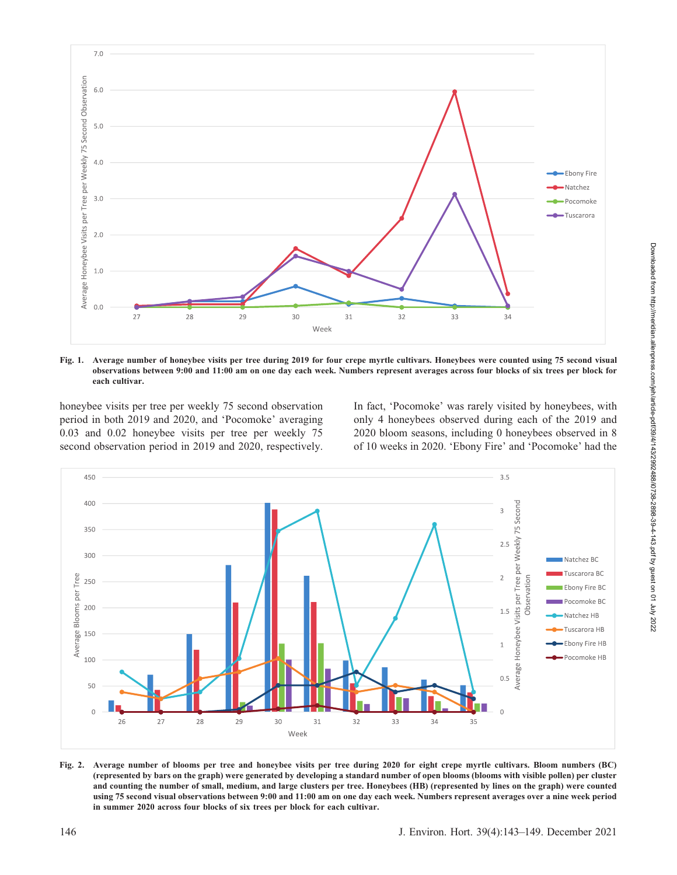

Fig. 1. Average number of honeybee visits per tree during 2019 for four crepe myrtle cultivars. Honeybees were counted using 75 second visual observations between 9:00 and 11:00 am on one day each week. Numbers represent averages across four blocks of six trees per block for each cultivar.

honeybee visits per tree per weekly 75 second observation period in both 2019 and 2020, and 'Pocomoke' averaging 0.03 and 0.02 honeybee visits per tree per weekly 75 second observation period in 2019 and 2020, respectively. In fact, 'Pocomoke' was rarely visited by honeybees, with only 4 honeybees observed during each of the 2019 and 2020 bloom seasons, including 0 honeybees observed in 8 of 10 weeks in 2020. 'Ebony Fire' and 'Pocomoke' had the



Fig. 2. Average number of blooms per tree and honeybee visits per tree during 2020 for eight crepe myrtle cultivars. Bloom numbers (BC) (represented by bars on the graph) were generated by developing a standard number of open blooms (blooms with visible pollen) per cluster and counting the number of small, medium, and large clusters per tree. Honeybees (HB) (represented by lines on the graph) were counted using 75 second visual observations between 9:00 and 11:00 am on one day each week. Numbers represent averages over a nine week period in summer 2020 across four blocks of six trees per block for each cultivar.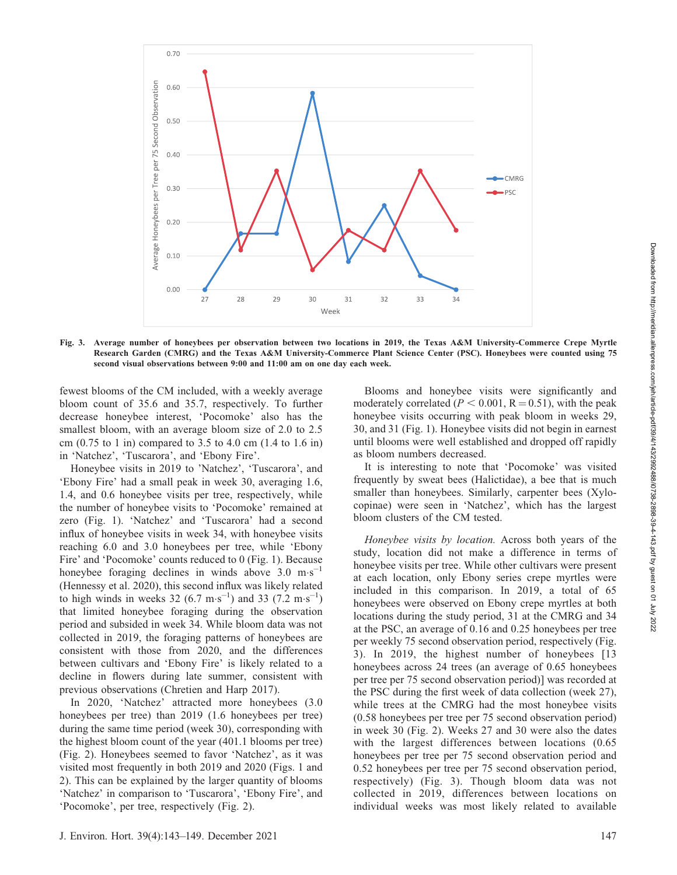

Fig. 3. Average number of honeybees per observation between two locations in 2019, the Texas A&M University-Commerce Crepe Myrtle Research Garden (CMRG) and the Texas A&M University-Commerce Plant Science Center (PSC). Honeybees were counted using 75 second visual observations between 9:00 and 11:00 am on one day each week.

fewest blooms of the CM included, with a weekly average bloom count of 35.6 and 35.7, respectively. To further decrease honeybee interest, 'Pocomoke' also has the smallest bloom, with an average bloom size of 2.0 to 2.5 cm (0.75 to 1 in) compared to 3.5 to 4.0 cm (1.4 to 1.6 in) in 'Natchez', 'Tuscarora', and 'Ebony Fire'.

Honeybee visits in 2019 to 'Natchez', 'Tuscarora', and 'Ebony Fire' had a small peak in week 30, averaging 1.6, 1.4, and 0.6 honeybee visits per tree, respectively, while the number of honeybee visits to 'Pocomoke' remained at zero (Fig. 1). 'Natchez' and 'Tuscarora' had a second influx of honeybee visits in week 34, with honeybee visits reaching 6.0 and 3.0 honeybees per tree, while 'Ebony Fire' and 'Pocomoke' counts reduced to 0 (Fig. 1). Because honeybee foraging declines in winds above  $3.0 \text{ m}\cdot\text{s}^{-1}$ (Hennessy et al. 2020), this second influx was likely related to high winds in weeks  $32 (6.7 \text{ m} \cdot \text{s}^{-1})$  and  $33 (7.2 \text{ m} \cdot \text{s}^{-1})$ that limited honeybee foraging during the observation period and subsided in week 34. While bloom data was not collected in 2019, the foraging patterns of honeybees are consistent with those from 2020, and the differences between cultivars and 'Ebony Fire' is likely related to a decline in flowers during late summer, consistent with previous observations (Chretien and Harp 2017).

In 2020, 'Natchez' attracted more honeybees (3.0 honeybees per tree) than 2019 (1.6 honeybees per tree) during the same time period (week 30), corresponding with the highest bloom count of the year (401.1 blooms per tree) (Fig. 2). Honeybees seemed to favor 'Natchez', as it was visited most frequently in both 2019 and 2020 (Figs. 1 and 2). This can be explained by the larger quantity of blooms 'Natchez' in comparison to 'Tuscarora', 'Ebony Fire', and 'Pocomoke', per tree, respectively (Fig. 2).

Blooms and honeybee visits were significantly and moderately correlated ( $P < 0.001$ ,  $R = 0.51$ ), with the peak honeybee visits occurring with peak bloom in weeks 29, 30, and 31 (Fig. 1). Honeybee visits did not begin in earnest until blooms were well established and dropped off rapidly as bloom numbers decreased.

It is interesting to note that 'Pocomoke' was visited frequently by sweat bees (Halictidae), a bee that is much smaller than honeybees. Similarly, carpenter bees (Xylocopinae) were seen in 'Natchez', which has the largest bloom clusters of the CM tested.

Honeybee visits by location. Across both years of the study, location did not make a difference in terms of honeybee visits per tree. While other cultivars were present at each location, only Ebony series crepe myrtles were included in this comparison. In 2019, a total of 65 honeybees were observed on Ebony crepe myrtles at both locations during the study period, 31 at the CMRG and 34 at the PSC, an average of 0.16 and 0.25 honeybees per tree per weekly 75 second observation period, respectively (Fig. 3). In 2019, the highest number of honeybees [13 honeybees across 24 trees (an average of 0.65 honeybees per tree per 75 second observation period)] was recorded at the PSC during the first week of data collection (week 27), while trees at the CMRG had the most honeybee visits (0.58 honeybees per tree per 75 second observation period) in week 30 (Fig. 2). Weeks 27 and 30 were also the dates with the largest differences between locations (0.65 honeybees per tree per 75 second observation period and 0.52 honeybees per tree per 75 second observation period, respectively) (Fig. 3). Though bloom data was not collected in 2019, differences between locations on individual weeks was most likely related to available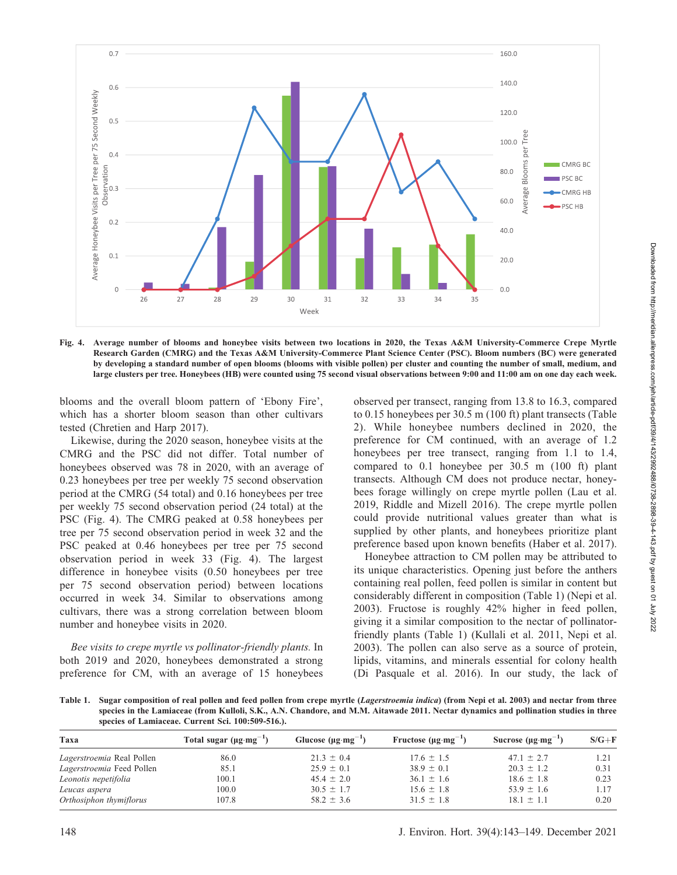

Fig. 4. Average number of blooms and honeybee visits between two locations in 2020, the Texas A&M University-Commerce Crepe Myrtle Research Garden (CMRG) and the Texas A&M University-Commerce Plant Science Center (PSC). Bloom numbers (BC) were generated by developing a standard number of open blooms (blooms with visible pollen) per cluster and counting the number of small, medium, and large clusters per tree. Honeybees (HB) were counted using 75 second visual observations between 9:00 and 11:00 am on one day each week.

blooms and the overall bloom pattern of 'Ebony Fire', which has a shorter bloom season than other cultivars tested (Chretien and Harp 2017).

Likewise, during the 2020 season, honeybee visits at the CMRG and the PSC did not differ. Total number of honeybees observed was 78 in 2020, with an average of 0.23 honeybees per tree per weekly 75 second observation period at the CMRG (54 total) and 0.16 honeybees per tree per weekly 75 second observation period (24 total) at the PSC (Fig. 4). The CMRG peaked at 0.58 honeybees per tree per 75 second observation period in week 32 and the PSC peaked at 0.46 honeybees per tree per 75 second observation period in week 33 (Fig. 4). The largest difference in honeybee visits (0.50 honeybees per tree per 75 second observation period) between locations occurred in week 34. Similar to observations among cultivars, there was a strong correlation between bloom number and honeybee visits in 2020.

Bee visits to crepe myrtle vs pollinator-friendly plants. In both 2019 and 2020, honeybees demonstrated a strong preference for CM, with an average of 15 honeybees

observed per transect, ranging from 13.8 to 16.3, compared to 0.15 honeybees per 30.5 m (100 ft) plant transects (Table 2). While honeybee numbers declined in 2020, the preference for CM continued, with an average of 1.2 honeybees per tree transect, ranging from 1.1 to 1.4, compared to 0.1 honeybee per 30.5 m (100 ft) plant transects. Although CM does not produce nectar, honeybees forage willingly on crepe myrtle pollen (Lau et al. 2019, Riddle and Mizell 2016). The crepe myrtle pollen could provide nutritional values greater than what is supplied by other plants, and honeybees prioritize plant preference based upon known benefits (Haber et al. 2017).

Honeybee attraction to CM pollen may be attributed to its unique characteristics. Opening just before the anthers containing real pollen, feed pollen is similar in content but considerably different in composition (Table 1) (Nepi et al. 2003). Fructose is roughly 42% higher in feed pollen, giving it a similar composition to the nectar of pollinatorfriendly plants (Table 1) (Kullali et al. 2011, Nepi et al. 2003). The pollen can also serve as a source of protein, lipids, vitamins, and minerals essential for colony health (Di Pasquale et al. 2016). In our study, the lack of

Table 1. Sugar composition of real pollen and feed pollen from crepe myrtle (Lagerstroemia indica) (from Nepi et al. 2003) and nectar from three species in the Lamiaceae (from Kulloli, S.K., A.N. Chandore, and M.M. Aitawade 2011. Nectar dynamics and pollination studies in three species of Lamiaceae. Current Sci. 100:509-516.).

| Taxa                      | Total sugar $(\mu g \cdot mg^{-1})$ | Glucose $(\mu g \cdot mg^{-1})$ | Fructose $(\mu g \cdot mg^{-1})$ | Sucrose $(\mu g \cdot mg^{-1})$ | $S/G+F$ |
|---------------------------|-------------------------------------|---------------------------------|----------------------------------|---------------------------------|---------|
| Lagerstroemia Real Pollen | 86.0                                | $21.3 \pm 0.4$                  | $17.6 \pm 1.5$                   | $47.1 \pm 2.7$                  | 1.21    |
| Lagerstroemia Feed Pollen | 85.1                                | $25.9 \pm 0.1$                  | $38.9 \pm 0.1$                   | $20.3 \pm 1.2$                  | 0.31    |
| Leonotis nepetifolia      | 100.1                               | $45.4 \pm 2.0$                  | $36.1 \pm 1.6$                   | $18.6 \pm 1.8$                  | 0.23    |
| Leucas aspera             | 100.0                               | $30.5 \pm 1.7$                  | $15.6 \pm 1.8$                   | $53.9 \pm 1.6$                  | 1.17    |
| Orthosiphon thymiflorus   | 107.8                               | $58.2 \pm 3.6$                  | $31.5 \pm 1.8$                   | $18.1 \pm 1.1$                  | 0.20    |